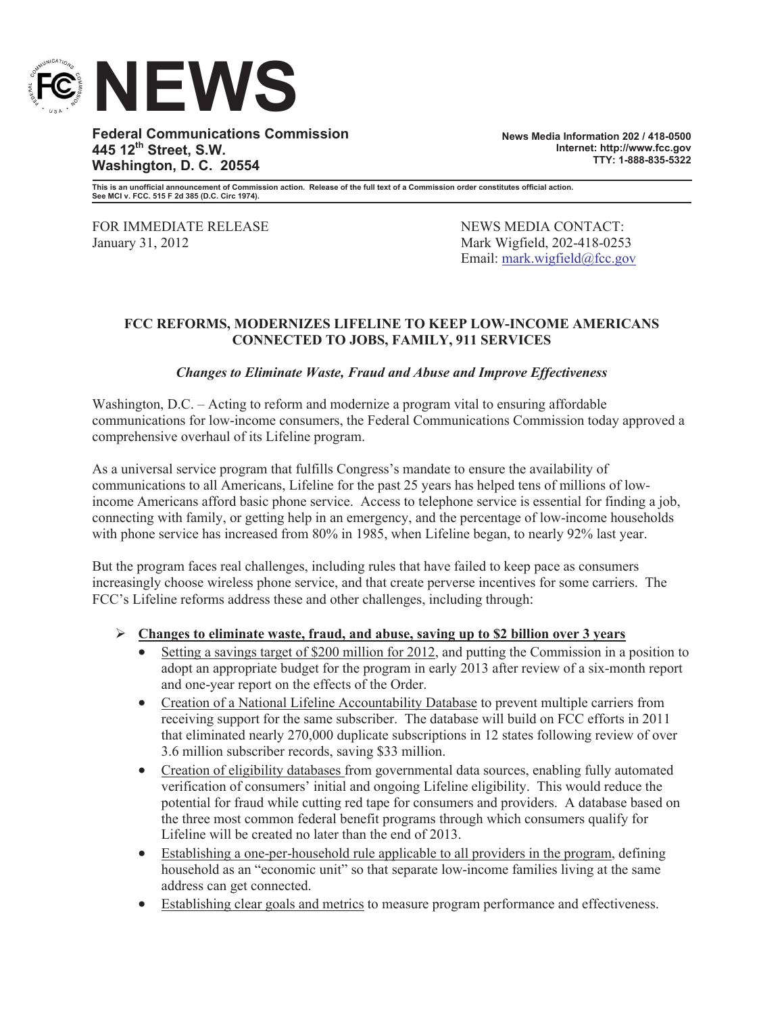

**Federal Communications Commission 445 12th Street, S.W. Washington, D. C. 20554**

**News Media Information 202 / 418-0500 Internet: http://www.fcc.gov TTY: 1-888-835-5322**

**This is an unofficial announcement of Commission action. Release of the full text of a Commission order constitutes official action. See MCI v. FCC. 515 F 2d 385 (D.C. Circ 1974).**

FOR IMMEDIATE RELEASE NEWS MEDIA CONTACT: January 31, 2012 Mark Wigfield, 202-418-0253

Email: mark.wigfield@fcc.gov

## **FCC REFORMS, MODERNIZES LIFELINE TO KEEP LOW-INCOME AMERICANS CONNECTED TO JOBS, FAMILY, 911 SERVICES**

## *Changes to Eliminate Waste, Fraud and Abuse and Improve Effectiveness*

Washington, D.C. – Acting to reform and modernize a program vital to ensuring affordable communications for low-income consumers, the Federal Communications Commission today approved a comprehensive overhaul of its Lifeline program.

As a universal service program that fulfills Congress's mandate to ensure the availability of communications to all Americans, Lifeline for the past 25 years has helped tens of millions of lowincome Americans afford basic phone service. Access to telephone service is essential for finding a job, connecting with family, or getting help in an emergency, and the percentage of low-income households with phone service has increased from 80% in 1985, when Lifeline began, to nearly 92% last year.

But the program faces real challenges, including rules that have failed to keep pace as consumers increasingly choose wireless phone service, and that create perverse incentives for some carriers. The FCC's Lifeline reforms address these and other challenges, including through:

## Ø **Changes to eliminate waste, fraud, and abuse, saving up to \$2 billion over 3 years**

- Setting a savings target of \$200 million for 2012, and putting the Commission in a position to adopt an appropriate budget for the program in early 2013 after review of a six-month report and one-year report on the effects of the Order.
- · Creation of a National Lifeline Accountability Database to prevent multiple carriers from receiving support for the same subscriber. The database will build on FCC efforts in 2011 that eliminated nearly 270,000 duplicate subscriptions in 12 states following review of over 3.6 million subscriber records, saving \$33 million.
- Creation of eligibility databases from governmental data sources, enabling fully automated verification of consumers' initial and ongoing Lifeline eligibility. This would reduce the potential for fraud while cutting red tape for consumers and providers. A database based on the three most common federal benefit programs through which consumers qualify for Lifeline will be created no later than the end of 2013.
- · Establishing a one-per-household rule applicable to all providers in the program, defining household as an "economic unit" so that separate low-income families living at the same address can get connected.
- · Establishing clear goals and metrics to measure program performance and effectiveness.